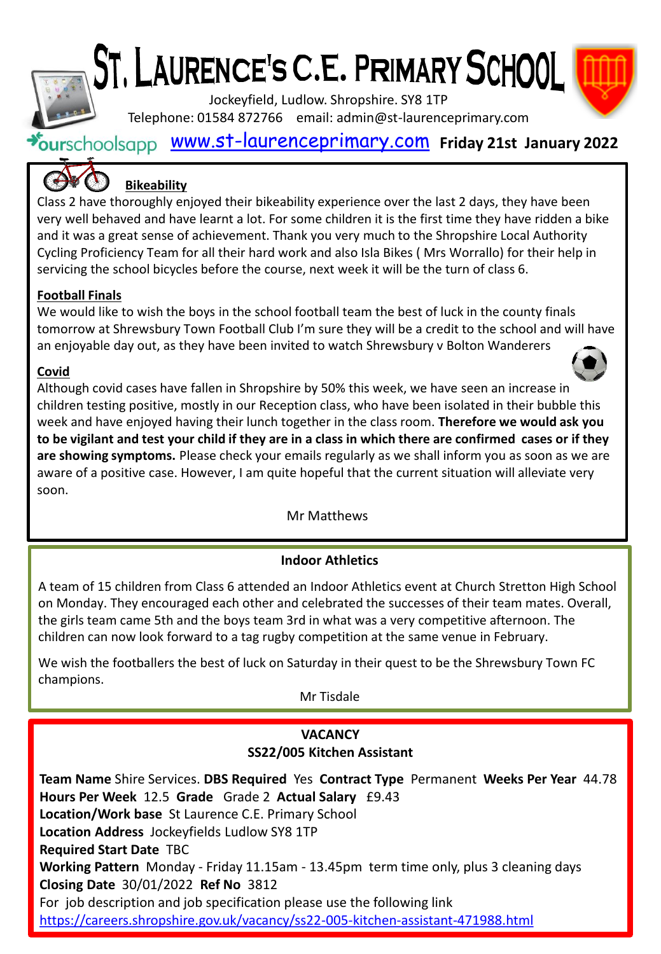# ST. LAURENCE'S C.E. PRIMARY SCHOOL

Jockeyfield, Ludlow. Shropshire. SY8 1TP Telephone: 01584 872766 email: admin@st-laurenceprimary.com



[www.st-laurenceprimary.com](http://www.st-laurenceprimary.com/) **Friday 21st January 2022**

## **Bikeability**

Class 2 have thoroughly enjoyed their bikeability experience over the last 2 days, they have been very well behaved and have learnt a lot. For some children it is the first time they have ridden a bike and it was a great sense of achievement. Thank you very much to the Shropshire Local Authority Cycling Proficiency Team for all their hard work and also Isla Bikes ( Mrs Worrallo) for their help in servicing the school bicycles before the course, next week it will be the turn of class 6.

## **Football Finals**

We would like to wish the boys in the school football team the best of luck in the county finals tomorrow at Shrewsbury Town Football Club I'm sure they will be a credit to the school and will have an enjoyable day out, as they have been invited to watch Shrewsbury v Bolton Wanderers

### **Covid**

Although covid cases have fallen in Shropshire by 50% this week, we have seen an increase in children testing positive, mostly in our Reception class, who have been isolated in their bubble this week and have enjoyed having their lunch together in the class room. **Therefore we would ask you to be vigilant and test your child if they are in a class in which there are confirmed cases or if they are showing symptoms.** Please check your emails regularly as we shall inform you as soon as we are aware of a positive case. However, I am quite hopeful that the current situation will alleviate very soon.

Mr Matthews

## **Indoor Athletics**

A team of 15 children from Class 6 attended an Indoor Athletics event at Church Stretton High School on Monday. They encouraged each other and celebrated the successes of their team mates. Overall, the girls team came 5th and the boys team 3rd in what was a very competitive afternoon. The children can now look forward to a tag rugby competition at the same venue in February.

We wish the footballers the best of luck on Saturday in their quest to be the Shrewsbury Town FC champions.

Mr Tisdale

## **VACANCY**

#### **SS22/005 Kitchen Assistant**

**Team Name** Shire Services. **DBS Required** Yes **Contract Type** Permanent **Weeks Per Year** 44.78 **Hours Per Week** 12.5 **Grade** Grade 2 **Actual Salary** £9.43 **Location/Work base** St Laurence C.E. Primary School **Location Address** Jockeyfields Ludlow SY8 1TP **Required Start Date** TBC **Working Pattern** Monday - Friday 11.15am - 13.45pm term time only, plus 3 cleaning days **Closing Date** 30/01/2022 **Ref No** 3812 For job description and job specification please use the following link <https://careers.shropshire.gov.uk/vacancy/ss22-005-kitchen-assistant-471988.html>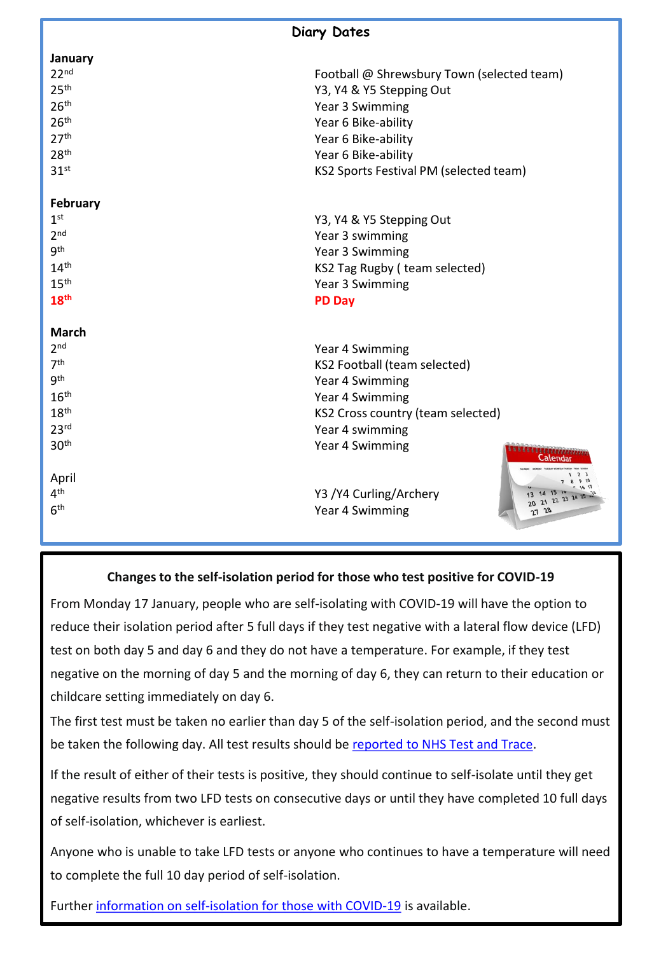| <b>Diary Dates</b> |                                               |
|--------------------|-----------------------------------------------|
| January            |                                               |
| 22 <sup>nd</sup>   | Football @ Shrewsbury Town (selected team)    |
| 25 <sup>th</sup>   | Y3, Y4 & Y5 Stepping Out                      |
| 26 <sup>th</sup>   | Year 3 Swimming                               |
| 26 <sup>th</sup>   | Year 6 Bike-ability                           |
| 27 <sup>th</sup>   | Year 6 Bike-ability                           |
| 28 <sup>th</sup>   | Year 6 Bike-ability                           |
| 31 <sup>st</sup>   | KS2 Sports Festival PM (selected team)        |
| <b>February</b>    |                                               |
| 1 <sup>st</sup>    | Y3, Y4 & Y5 Stepping Out                      |
| 2 <sub>nd</sub>    | Year 3 swimming                               |
| <b>gth</b>         | Year 3 Swimming                               |
| 14 <sup>th</sup>   | KS2 Tag Rugby (team selected)                 |
| 15 <sup>th</sup>   | Year 3 Swimming                               |
| 18 <sup>th</sup>   | <b>PD Day</b>                                 |
| <b>March</b>       |                                               |
| 2 <sub>nd</sub>    | Year 4 Swimming                               |
| 7 <sup>th</sup>    | KS2 Football (team selected)                  |
| gth                | Year 4 Swimming                               |
| 16 <sup>th</sup>   | Year 4 Swimming                               |
| 18 <sup>th</sup>   | KS2 Cross country (team selected)             |
| 23 <sup>rd</sup>   | Year 4 swimming                               |
| 30 <sup>th</sup>   | Year 4 Swimming<br><b>Calendar</b>            |
| April              | $1\quad 2$<br>7 8 9 10                        |
| 4 <sup>th</sup>    | 1617<br>Y3 / Y4 Curling/Archery<br>14 15 10   |
| 6 <sup>th</sup>    | 20 21 22 23 24 25<br>Year 4 Swimming<br>27 28 |

#### **Changes to the self-isolation period for those who test positive for COVID-19**

From Monday 17 January, people who are self-isolating with COVID-19 will have the option to reduce their isolation period after 5 full days if they test negative with a lateral flow device (LFD) test on both day 5 and day 6 and they do not have a temperature. For example, if they test negative on the morning of day 5 and the morning of day 6, they can return to their education or childcare setting immediately on day 6.

The first test must be taken no earlier than day 5 of the self-isolation period, and the second must be taken the following day. All test results should be [reported to NHS Test and Trace.](https://www.gov.uk/report-covid19-result?utm_source=14%20January%202022%20C19&utm_medium=Daily%20Email%20C19&utm_campaign=DfE%20C19)

If the result of either of their tests is positive, they should continue to self-isolate until they get negative results from two LFD tests on consecutive days or until they have completed 10 full days of self-isolation, whichever is earliest.

Anyone who is unable to take LFD tests or anyone who continues to have a temperature will need to complete the full 10 day period of self-isolation.

Further [information on self-isolation for those with COVID-19](https://www.gov.uk/government/news/self-isolation-for-those-with-covid-19-can-end-after-five-full-days-following-two-negative-lfd-tests?utm_source=14%20January%202022%20C19&utm_medium=Daily%20Email%20C19&utm_campaign=DfE%20C19) is available.